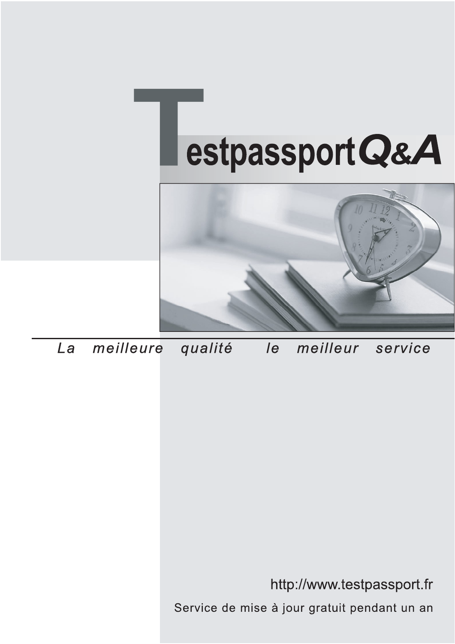



meilleure La qualité  $\overline{e}$ meilleur service

http://www.testpassport.fr

Service de mise à jour gratuit pendant un an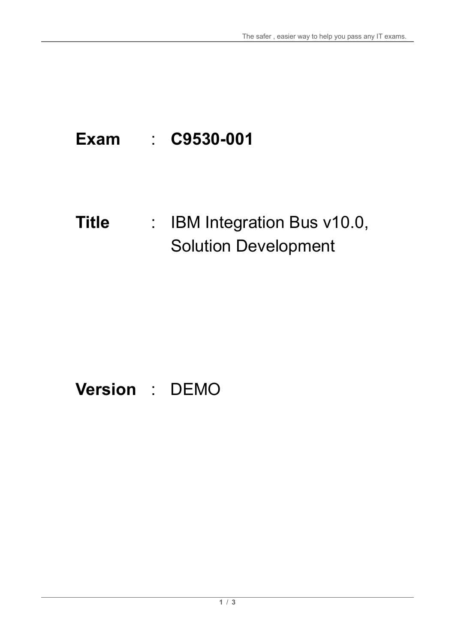# **Exam** : **C9530-001**

### **Title** : : IBM Integration Bus v10.0, Solution Development

## **Version** : DEMO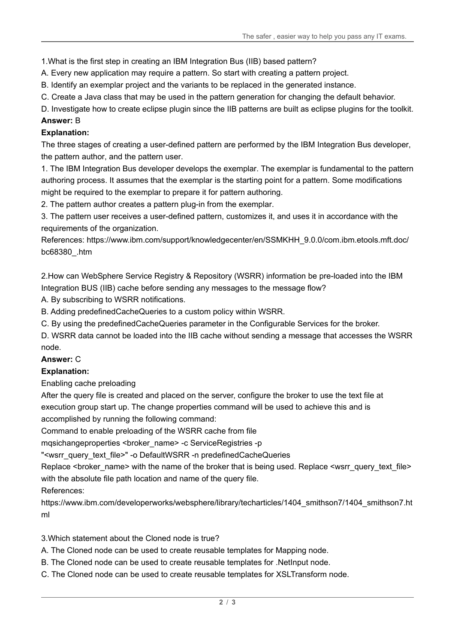1.What is the first step in creating an IBM Integration Bus (IIB) based pattern?

A. Every new application may require a pattern. So start with creating a pattern project.

B. Identify an exemplar project and the variants to be replaced in the generated instance.

C. Create a Java class that may be used in the pattern generation for changing the default behavior.

D. Investigate how to create eclipse plugin since the IIB patterns are built as eclipse plugins for the toolkit.

#### **Answer:** B

#### **Explanation:**

The three stages of creating a user-defined pattern are performed by the IBM Integration Bus developer, the pattern author, and the pattern user.

1. The IBM Integration Bus developer develops the exemplar. The exemplar is fundamental to the pattern authoring process. It assumes that the exemplar is the starting point for a pattern. Some modifications might be required to the exemplar to prepare it for pattern authoring.

2. The pattern author creates a pattern plug-in from the exemplar.

3. The pattern user receives a user-defined pattern, customizes it, and uses it in accordance with the requirements of the organization.

References: https://www.ibm.com/support/knowledgecenter/en/SSMKHH\_9.0.0/com.ibm.etools.mft.doc/ bc68380\_.htm

2.How can WebSphere Service Registry & Repository (WSRR) information be pre-loaded into the IBM Integration BUS (IIB) cache before sending any messages to the message flow?

A. By subscribing to WSRR notifications.

B. Adding predefinedCacheQueries to a custom policy within WSRR.

C. By using the predefinedCacheQueries parameter in the Configurable Services for the broker.

D. WSRR data cannot be loaded into the IIB cache without sending a message that accesses the WSRR node.

#### **Answer:** C

#### **Explanation:**

Enabling cache preloading

After the query file is created and placed on the server, configure the broker to use the text file at execution group start up. The change properties command will be used to achieve this and is accomplished by running the following command:

Command to enable preloading of the WSRR cache from file

mqsichangeproperties <br/> <br/> <br/> <br/> <br/>name> -c ServiceRegistries -p

"<wsrr\_query\_text\_file>" -o DefaultWSRR -n predefinedCacheQueries

Replace <broker\_name> with the name of the broker that is being used. Replace <wsrr\_query\_text\_file> with the absolute file path location and name of the query file.

#### References:

https://www.ibm.com/developerworks/websphere/library/techarticles/1404\_smithson7/1404\_smithson7.ht ml

3.Which statement about the Cloned node is true?

A. The Cloned node can be used to create reusable templates for Mapping node.

- B. The Cloned node can be used to create reusable templates for .NetInput node.
- C. The Cloned node can be used to create reusable templates for XSLTransform node.